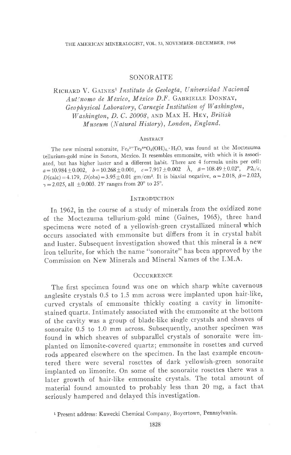## SONORAITE

RICHARD V. GAINES<sup>1</sup> Instituto de Geología, Universidad Nacional Auténomo de México, México D.F. GABRIELLE DONNAY, Geophysical Laboratory, Carnegie Institution of Washington, Washington, D. C. 20008, AND MAX H. HEY, British Museum (Natural History), London, England.

#### ABSTRACT

The new mineral sonoraite,  $Fe<sub>2</sub>^{3+}Te<sub>2</sub>^{4+}O<sub>5</sub>(OH)<sub>4</sub>$ . H<sub>2</sub>O, was found at the Moctezuma tellurium-gold mine in Sonora, Mexico. It resembles emmonsite, with which it is associated, but has higher luster and a different habit. There are 4 formula units per cell:  $a = 10.984 \pm 0.002, \quad b = 10.268 \pm 0.001, \quad c = 7.917 \pm 0.002 \quad \text{\AA}, \quad \beta = 108.49 \pm 0.02^{\circ}, \quad P2_1/\epsilon,$  $D(calc) = 4.179$ ,  $D(obs) = 3.95 \pm 0.01$  gm/cm<sup>3</sup>. It is biaxial negative,  $\alpha = 2.018$ ,  $\beta = 2.023$ ,  $\gamma = 2.025$ , all  $\pm 0.003$ . 2V ranges from 20° to 25°.

### **INTRODUCTION**

In 1962, in the course of a study of minerals from the oxidized zone of the Moctezuma tellurium-gold mine (Gaines, 1965), three hand specimens were noted of a yellowish-green crystallized mineral which occurs associated with emmonsite but differs from it in crystal habit and luster. Subsequent investigation showed that this mineral is a new iron tellurite, for which the name "sonoraite" has been approved by the Commission on New Minerals and Mineral Names of the I.M.A.

#### **OCCURRENCE**

The first specimen found was one on which sharp white cavernous anglesite crystals 0.5 to 1.5 mm across were implanted upon hair-like, curved crystals of emmonsite thickly coating a cavity in limonitestained quartz. Intimately associated with the emmonsite at the bottom of the cavity was a group of blade-like single crystals and sheaves of sonoraite 0.5 to 1.0 mm across. Subsequently, another specimen was found in which sheaves of subparallel crystals of sonoraite were implanted on limonite-covered quartz; emmonsite in rosettes and curved rods appeared elsewhere on the specimen. In the last example encountered there were several rosettes of dark yellowish-green sonoraite implanted on limonite. On some of the sonoraite rosettes there was a later growth of hair-like emmonsite crystals. The total amount of material found amounted to probably less than 20 mg, a fact that seriously hampered and delayed this investigation.

<sup>&</sup>lt;sup>1</sup> Present address: Kawecki Chemical Company, Boyertown, Pennsylvania.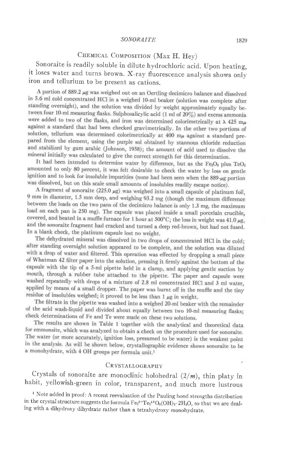#### SONORAITE 1829

# CHEMICAL COMPOSITION (Max H. Hey)

. it loses water and turns brown. X-ray fluorescence analysis shows only Sonoraite is readily soluble in dilute hydrochloric acid. Upon heating, iron and tellurium to be present as cations.

A portion of 889.2 µg was weighed out on an Oertling decimicro balance and dissolved in 5.6 ml cold concentrated HCl in a weighed 10-ml beaker (solution was complete after standing overnight), and the solution was divided by weight approximately equally between four 10-ml measuring flasks. Sulphosalicylic acid (1 ml of 20%) and excess ammonia were added to two of the flasks, and iron was determined colorimetrically at  $\lambda$  425 m $\mu$ against a standard that had been checked gravimetrically. In the other two portions of solution, tellurium was determined colorimetrically at 400  $m<sub>\mu</sub>$  against a standard prepared from the element, using the purple sol obtained by stannous chloride reduction and stabilized by gum arabic (Johnson, 1958); the amount of acid used to dissolve the mineral initially was calculated to give the correct strength for this determination.

It had been intended to determine water by difference, but as the Fe<sub>2</sub>O<sub>3</sub> plus TeO<sub>2</sub> amounted to only 80 percent, it was felt desirable to check the water by loss on gentle ignition and to look for insoluble impurities (none had been seen when the 889-µg portion was dissolved, but on this scale small amounts of insolubles readily escape notice).

A fragment of sonoraite  $(225.0 \mu g)$  was weighed into a small capsule of platinum foil, 9 mm in diameter, 1.5 mm deep, and weighing 93.2 mg (though the maximum difference between the loads on the two pans of the decimicro balance is only 1.3 mg, the maximum load on each pan is 250 mg). The capsule was placed inside a small porcelain crucible, covered, and heated in a muffle furnace for 1 hour at  $500^{\circ}$ C; the loss in weight was  $41.0 \mu g$ , and the sonoraite fragment had cracked and turned a deep red-brown, but had not fused. In a blank check, the platinum capsule lost no weight.

The dehydrated mineral was dissolved in two drops of concentrated HCl in the cold; after standing overnight solution appeared to be complete, and the solution was diluted with a drop of water and filtered. This operation was effected by dropping a small piece of Whatman 42 filter paper into the solution, pressing it firmly against the bottom of the capsule with the tip of a 5-ml pipette held in a clamp, and applying gentle suction by mouth, through a rubber tube attached to the pipette. The paper and capsule were washed repeatedly with drops of a mixture of 2.8 ml concentrated HCl and 3 ml water, applied by means of a small dropper. The paper was burnt off in the muffle and the tiny residue of insolubles weighed; it proved to be less than  $1 \mu g$  in weight.

The filtrate in the pipette was washed into a weighed 20-ml beaker with the remainder of the acid wash-liquid and divided about equally between two 10-ml measuring flasks; check determinations of Fe and Te were made on these two solutions.

The results are shown in Table 1 together with the analytical and theoretical data for emmonsite, which was analyzed to obtain a check on the procedure used for sonoraite. The water (or more accurately, ignition loss, presumed to be water) is the weakest point in the analysis. As will be shown below, crystallographic evidence shows sonoraite to be a monohydrate, with 4 OH groups per formula unit.<sup>1</sup>

#### CRYSTALLOGRAPHY

Crystals of sonoraite are monoclinic holohedral  $(2/m)$ , thin platy in habit, yellowish-green in color, transparent, and much more lustrous

<sup>1</sup> Note added in proof: A recent reevaluation of the Pauling bond strengths distribution in the crystal structure suggests the formula  $Fe<sub>2</sub><sup>3+</sup>Te<sub>2</sub><sup>4+</sup>O<sub>6</sub>(OH)<sub>2</sub>·2H<sub>2</sub>O$ , so that we are dealing with a dihydroxy dihydrate rather than a tetrahydroxy monohydrate.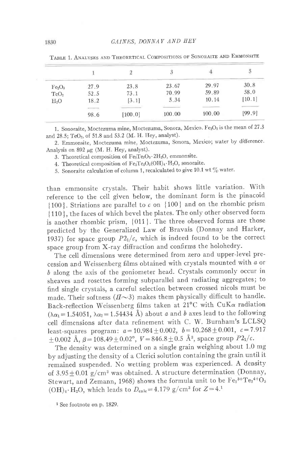|                                |                               |         |        |        | 5      |
|--------------------------------|-------------------------------|---------|--------|--------|--------|
| Fe <sub>2</sub> O <sub>3</sub> | 27.9                          | 23.8    | 23.67  | 29.97  | 30.8   |
| TeO <sub>2</sub>               | 52.5                          | 73.1    | 70.99  | 59.89  | 58.0   |
| $H_2O$                         | 18.2                          | [3.1]   | 5.34   | 10.14  | [10.1] |
|                                | <b>The State of A</b><br>98.6 | [100.0] | 100.00 | 100.00 | [99.9] |

TABLE 1. ANALYSES AND THEORETICAL COMPOSITIONS OF SONORAITE AND EMMONSITE

1. Sonoraite, Moctezuma mine, Moctezuma, Sonora, Mexico.  $Fe<sub>2</sub>O<sub>3</sub>$  is the mean of 27.3 and 28.5; TeO<sub>2</sub>, of 51.8 and 53.2 (M. H. Hey, analyst).

2. Emmonsite, Moctezuma mine, Moctezuma, Sonora, Merico; water by difierence' Analysis on 892  $\mu$ g (M. H. Hey, analyst).

3. Theoretical composition of  $Fe_2Te_2O_9 \cdot 2H_2O$ , emmonsite.

4. Theoretical composition of  $Fe<sub>2</sub>Te<sub>2</sub>O<sub>5</sub>(OH)<sub>4</sub>·H<sub>2</sub>O$ , sonoraite.

5. Sonoraite calculation of column 1, recalculated to give 10.1 wt  $\%$  water.

than emmonsite crystals. Their habit shows little variation. With reference to the cell given below, the dominant form is the pinacoid [ 100 ]. Striations are parallel to c on  $\{100\}$  and on the rhombic prism { 1 10 }, the faces of which bevel the plates. The only other observed form is another rhombic prism, {011}. The three observed forms are those predicted by the Generalized Law of Bravais (Donnay and Harker, 1937) for space group  $P2_1/c$ , which is indeed found to be the correct space group from X-ray diffraction and confirms the holohedry.

The cell dimensions were determined from zero and upper-level precession and Weissenberg films obtained with crystals mounted with a or 6 along the axis of the goniometer head. Crystals commonly occur in sheaves and rosettes forming subparallel and radiating aggregates; to find single crystals, a careful selection between crossed nicols must be made. Their softness  $(H\sim 3)$  makes them physically difficult to handle. Back-reflection Weissenberg films taken at 21°C with CuK $\alpha$  radiation  $(\lambda \alpha_1 = 1.54051, \lambda \alpha_2 = 1.54434 \text{ Å})$  about a and b axes lead to the following ceII dimensions after data refinement with C. W. Burnham's LCLSQ least-squares program:  $a=10.984\pm0.002$ ,  $b=10.268\pm0.001$ ,  $c= 7.917$  $\pm 0.002$  Å,  $\beta = 108.49 \pm 0.02^{\circ}$ ,  $V = 846.8 \pm 0.5$  Å<sup>3</sup>, space group  $P2_1/c$ .

The density was determined on a single grain weighing about 1.0 mg by adjusting the density of a Clerici solution containing the grain until it remained suspended. No wetting problem was experienced. A density of  $3.95 \pm 0.01$  g/cm<sup>3</sup> was obtained. A structure determination (Donnay, Stewart, and Zemann, 1968) shows the formula unit to be  $Fe<sub>2</sub><sup>3+</sup>Te<sub>2</sub><sup>4+</sup>O<sub>5</sub>$  $(OH)_4 \cdot H_2O$ , which leads to  $D_{\text{calc}} = 4.179$  g/cm<sup>3</sup> for  $Z = 4<sup>1</sup>$ 

<sup>1</sup> See footnote on p. 1829.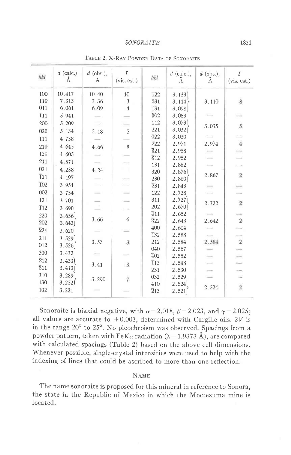#### **SONORAITE**

| hkl              | $d$ (calc.),<br>Ă | $d$ (obs.),<br>Ă | $\overline{I}$<br>(vis. est.) | hkl                     | $d$ (calc.),<br>Å | $d$ (obs.),<br>Å | T<br>(vis. est.) |
|------------------|-------------------|------------------|-------------------------------|-------------------------|-------------------|------------------|------------------|
| 100              | 10.417            | 10.40            | 10                            | 122                     | 3.133             |                  |                  |
| 110              | 7.313             | 7.36             | 3                             | 031                     | 3.114             | 3.110            | 8                |
| 011              | 6.061             | 6.09             | $\overline{4}$                | 131                     | 3.098             |                  |                  |
| $\overline{1}11$ | 5.941             |                  |                               | $\overline{3}02$        | 3.083             |                  |                  |
| 200              | 5.209             |                  |                               | 112                     | 3.073             | 3.035            | $\sqrt{5}$       |
| 020              | 5.134             | 5.18             | 5                             | 221                     | 3.032             |                  |                  |
| 111              | 4.738             |                  |                               | 022                     | 3.030             |                  |                  |
| 210              | 4.645             | 4,66             | 8                             | $\overline{2}22$        | 2.971             | 2.974            | $\overline{4}$   |
| 120              | 4.605             |                  |                               | 321                     | 2.958             |                  |                  |
| 211              | 4.571             |                  |                               | $\overline{3}12$        | 2.952             |                  |                  |
| 021              | 4.238             |                  | $\overline{1}$                | 131                     | 2.882             |                  | Ħ                |
| <b>121</b>       |                   | 4.24             |                               | 320                     | 2.876             | 2.867            | $\sqrt{2}$       |
| <b>I02</b>       | 4.197             |                  |                               | 230                     | 2.860             |                  |                  |
|                  | 3.954             |                  |                               | $\overline{2}31$        | 2.843             |                  |                  |
| 002              | 3.754             |                  |                               | 122                     | 2.728             |                  |                  |
| 121              | 3.701             |                  |                               | 311                     | 2.727             | 2.722            | $\,2$            |
| <b>I12</b>       | 3.690             |                  |                               | 202                     | 2.670             |                  |                  |
| 220              | 3.656             | 3.66             | 6                             | 411                     | 2.652             |                  | $\sqrt{2}$       |
| 202              | 3.642             |                  |                               | $\overline{3}22$<br>400 | 2.643             | 2.642            |                  |
| $\overline{2}21$ | 3.620             |                  |                               | 132                     | 2.604             |                  |                  |
| 211              | 3.529             | 3.53             | $\mathfrak{z}$                | 212                     | 2.588<br>2.584    | 2.584            | $\frac{1}{2}$    |
| 012              | 3.526             |                  |                               | 040                     | 2.567             |                  |                  |
| 300              | 3.472             |                  |                               | 402                     | 2.552             |                  |                  |
| 212              | 3.433             |                  |                               | 113                     | 2.548             |                  |                  |
| $\overline{3}11$ | 3.413             | 3.41             | 3                             | 231                     | 2.530             |                  |                  |
| 310              | 3.289             |                  |                               | 032                     | 2.529             |                  |                  |
| 130              | 3.252             | 3.290            | 7                             | 410                     | 2.524             |                  |                  |
| 102              | 3.221             |                  |                               | $\overline{2}13$        | 2.521             | 2.524            | $\,2$            |

TABLE 2. X-RAY POWDER DATA OF SONORAITE

Sonoraite is biaxial negative, with  $\alpha = 2.018$ ,  $\beta = 2.023$ , and  $\gamma = 2.025$ ; all values are accurate to  $\pm 0.003$ , determined with Cargille oils. 2V is in the range 20° to 25°. No pleochroism was observed. Spacings from a powder pattern, taken with  $\text{FeK}\alpha$  radiation ( $\lambda = 1.9373$  Å), are compared with calculated spacings (Table 2) based on the above cell dimensions. Whenever possible, single-crystal intensities were used to help with the indexing of lines that could be ascribed to more than one reflection.

#### **NAME**

The name sonoraite is proposed for this mineral in reference to Sonora, the state in the Republic of Mexico in which the Moctezuma mine is located.